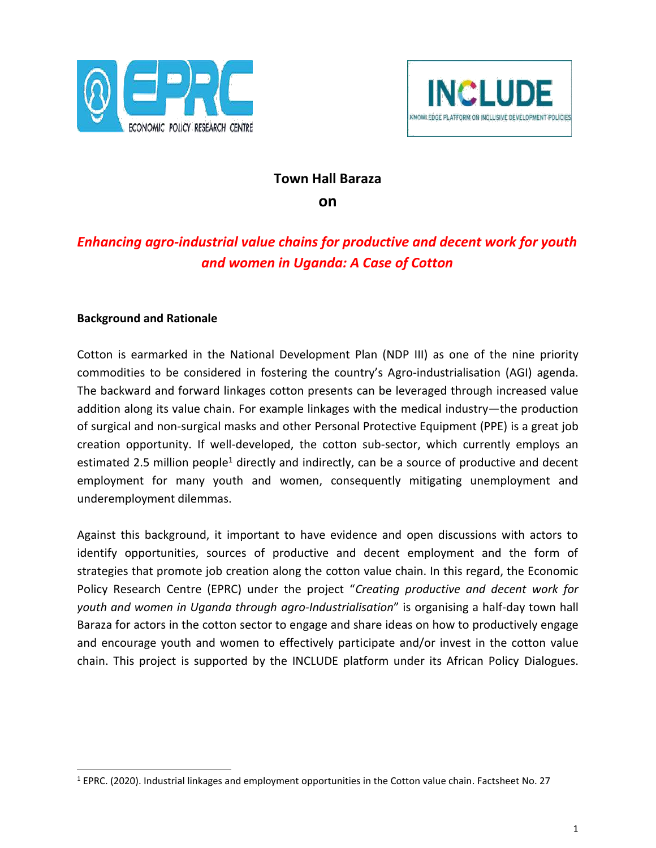



## **Town Hall Baraza**

**on**

# *Enhancing agro-industrial value chains for productive and decent work for youth and women in Uganda: A Case of Cotton*

#### **Background and Rationale**

Cotton is earmarked in the National Development Plan (NDP III) as one of the nine priority commodities to be considered in fostering the country's Agro-industrialisation (AGI) agenda. The backward and forward linkages cotton presents can be leveraged through increased value addition along its value chain. For example linkages with the medical industry—the production of surgical and non-surgical masks and other Personal Protective Equipment (PPE) is a great job creation opportunity. If well-developed, the cotton sub-sector, which currently employs an estimated 2.5 million people<sup>1</sup> directly and indirectly, can be a source of productive and decent employment for many youth and women, consequently mitigating unemployment and underemployment dilemmas.

Against this background, it important to have evidence and open discussions with actors to identify opportunities, sources of productive and decent employment and the form of strategies that promote job creation along the cotton value chain. In this regard, the Economic Policy Research Centre (EPRC) under the project "*Creating productive and decent work for youth and women in Uganda through agro-Industrialisation*" is organising a half-day town hall Baraza for actors in the cotton sector to engage and share ideas on how to productively engage and encourage youth and women to effectively participate and/or invest in the cotton value chain. This project is supported by the INCLUDE platform under its African Policy Dialogues.

<sup>1</sup> EPRC. (2020). Industrial linkages and employment opportunities in the Cotton value chain. Factsheet No. 27